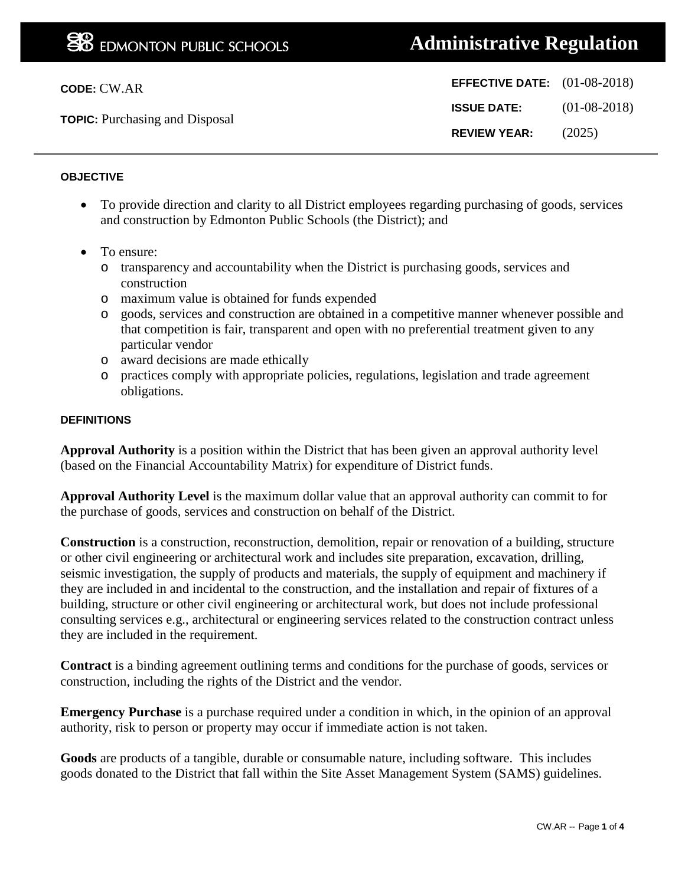| <b>CODE: CW.AR</b>                    | <b>EFFECTIVE DATE:</b> $(01-08-2018)$ |                |
|---------------------------------------|---------------------------------------|----------------|
| <b>TOPIC:</b> Purchasing and Disposal | <b>ISSUE DATE:</b>                    | $(01-08-2018)$ |
|                                       | <b>REVIEW YEAR:</b>                   | (2025)         |
|                                       |                                       |                |

## **OBJECTIVE**

- To provide direction and clarity to all District employees regarding purchasing of goods, services and construction by Edmonton Public Schools (the District); and
- To ensure:
	- o transparency and accountability when the District is purchasing goods, services and construction
	- o maximum value is obtained for funds expended
	- o goods, services and construction are obtained in a competitive manner whenever possible and that competition is fair, transparent and open with no preferential treatment given to any particular vendor
	- o award decisions are made ethically
	- o practices comply with appropriate policies, regulations, legislation and trade agreement obligations.

#### **DEFINITIONS**

**Approval Authority** is a position within the District that has been given an approval authority level (based on the Financial Accountability Matrix) for expenditure of District funds.

**Approval Authority Level** is the maximum dollar value that an approval authority can commit to for the purchase of goods, services and construction on behalf of the District.

**Construction** is a construction, reconstruction, demolition, repair or renovation of a building, structure or other civil engineering or architectural work and includes site preparation, excavation, drilling, seismic investigation, the supply of products and materials, the supply of equipment and machinery if they are included in and incidental to the construction, and the installation and repair of fixtures of a building, structure or other civil engineering or architectural work, but does not include professional consulting services e.g., architectural or engineering services related to the construction contract unless they are included in the requirement.

**Contract** is a binding agreement outlining terms and conditions for the purchase of goods, services or construction, including the rights of the District and the vendor.

**Emergency Purchase** is a purchase required under a condition in which, in the opinion of an approval authority, risk to person or property may occur if immediate action is not taken.

**Goods** are products of a tangible, durable or consumable nature, including software. This includes goods donated to the District that fall within the Site Asset Management System (SAMS) guidelines.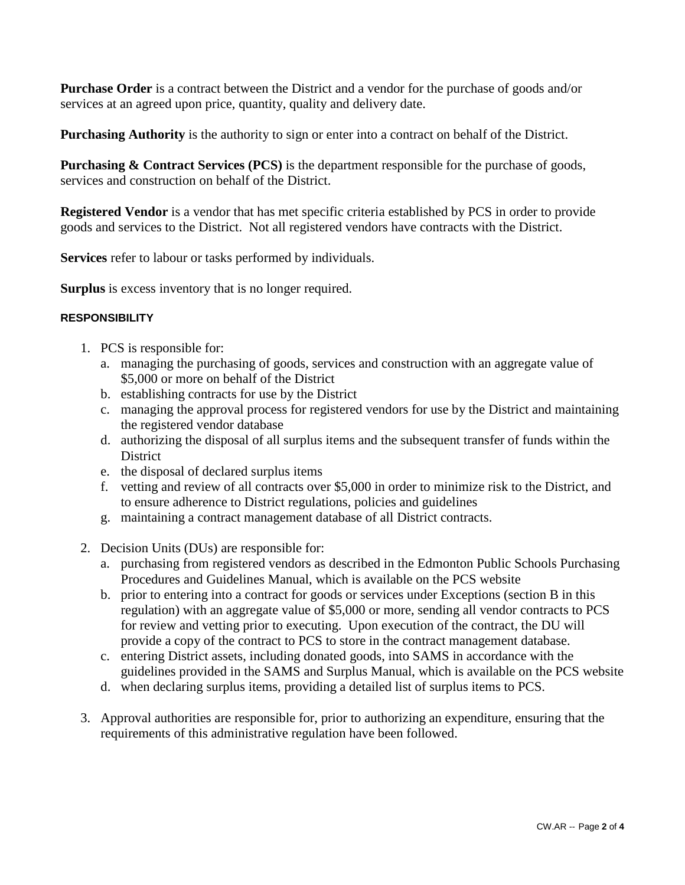**Purchase Order** is a contract between the District and a vendor for the purchase of goods and/or services at an agreed upon price, quantity, quality and delivery date.

**Purchasing Authority** is the authority to sign or enter into a contract on behalf of the District.

**Purchasing & Contract Services (PCS)** is the department responsible for the purchase of goods, services and construction on behalf of the District.

**Registered Vendor** is a vendor that has met specific criteria established by PCS in order to provide goods and services to the District. Not all registered vendors have contracts with the District.

**Services** refer to labour or tasks performed by individuals.

**Surplus** is excess inventory that is no longer required.

#### **RESPONSIBILITY**

- 1. PCS is responsible for:
	- a. managing the purchasing of goods, services and construction with an aggregate value of \$5,000 or more on behalf of the District
	- b. establishing contracts for use by the District
	- c. managing the approval process for registered vendors for use by the District and maintaining the registered vendor database
	- d. authorizing the disposal of all surplus items and the subsequent transfer of funds within the District
	- e. the disposal of declared surplus items
	- f. vetting and review of all contracts over \$5,000 in order to minimize risk to the District, and to ensure adherence to District regulations, policies and guidelines
	- g. maintaining a contract management database of all District contracts.
- 2. Decision Units (DUs) are responsible for:
	- a. purchasing from registered vendors as described in the Edmonton Public Schools Purchasing Procedures and Guidelines Manual, which is available on the PCS website
	- b. prior to entering into a contract for goods or services under Exceptions (section B in this regulation) with an aggregate value of \$5,000 or more, sending all vendor contracts to PCS for review and vetting prior to executing. Upon execution of the contract, the DU will provide a copy of the contract to PCS to store in the contract management database.
	- c. entering District assets, including donated goods, into SAMS in accordance with the guidelines provided in the SAMS and Surplus Manual, which is available on the PCS website
	- d. when declaring surplus items, providing a detailed list of surplus items to PCS.
- 3. Approval authorities are responsible for, prior to authorizing an expenditure, ensuring that the requirements of this administrative regulation have been followed.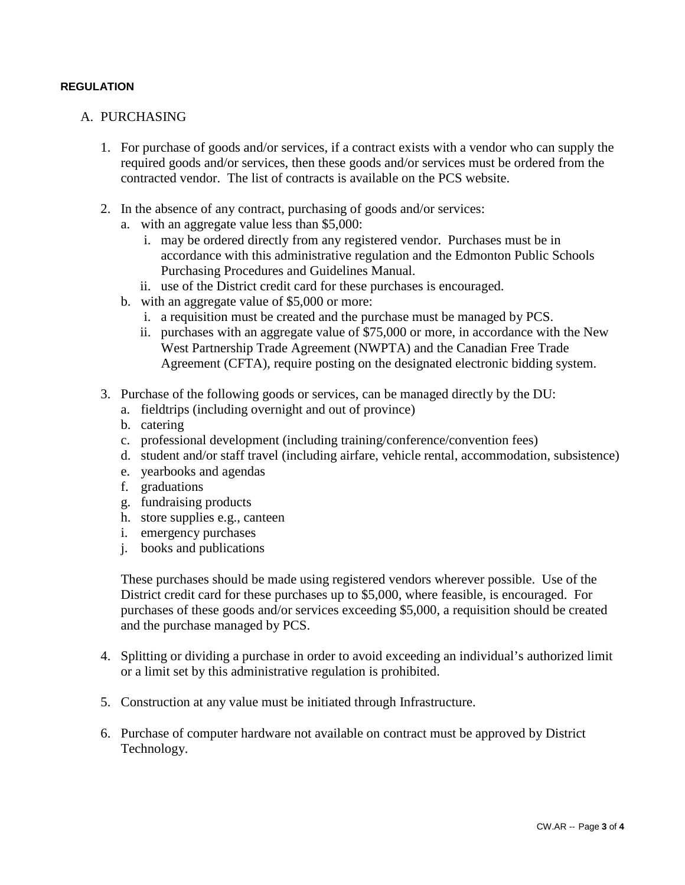## **REGULATION**

# A. PURCHASING

- 1. For purchase of goods and/or services, if a contract exists with a vendor who can supply the required goods and/or services, then these goods and/or services must be ordered from the contracted vendor. The list of contracts is available on the PCS website.
- 2. In the absence of any contract, purchasing of goods and/or services:
	- a. with an aggregate value less than \$5,000:
		- i. may be ordered directly from any registered vendor. Purchases must be in accordance with this administrative regulation and the Edmonton Public Schools Purchasing Procedures and Guidelines Manual.
		- ii. use of the District credit card for these purchases is encouraged.
	- b. with an aggregate value of \$5,000 or more:
		- i. a requisition must be created and the purchase must be managed by PCS.
		- ii. purchases with an aggregate value of \$75,000 or more, in accordance with the New West Partnership Trade Agreement (NWPTA) and the Canadian Free Trade Agreement (CFTA), require posting on the designated electronic bidding system.
- 3. Purchase of the following goods or services, can be managed directly by the DU:
	- a. fieldtrips (including overnight and out of province)
	- b. catering
	- c. professional development (including training/conference/convention fees)
	- d. student and/or staff travel (including airfare, vehicle rental, accommodation, subsistence)
	- e. yearbooks and agendas
	- f. graduations
	- g. fundraising products
	- h. store supplies e.g., canteen
	- i. emergency purchases
	- j. books and publications

These purchases should be made using registered vendors wherever possible. Use of the District credit card for these purchases up to \$5,000, where feasible, is encouraged. For purchases of these goods and/or services exceeding \$5,000, a requisition should be created and the purchase managed by PCS.

- 4. Splitting or dividing a purchase in order to avoid exceeding an individual's authorized limit or a limit set by this administrative regulation is prohibited.
- 5. Construction at any value must be initiated through Infrastructure.
- 6. Purchase of computer hardware not available on contract must be approved by District Technology.